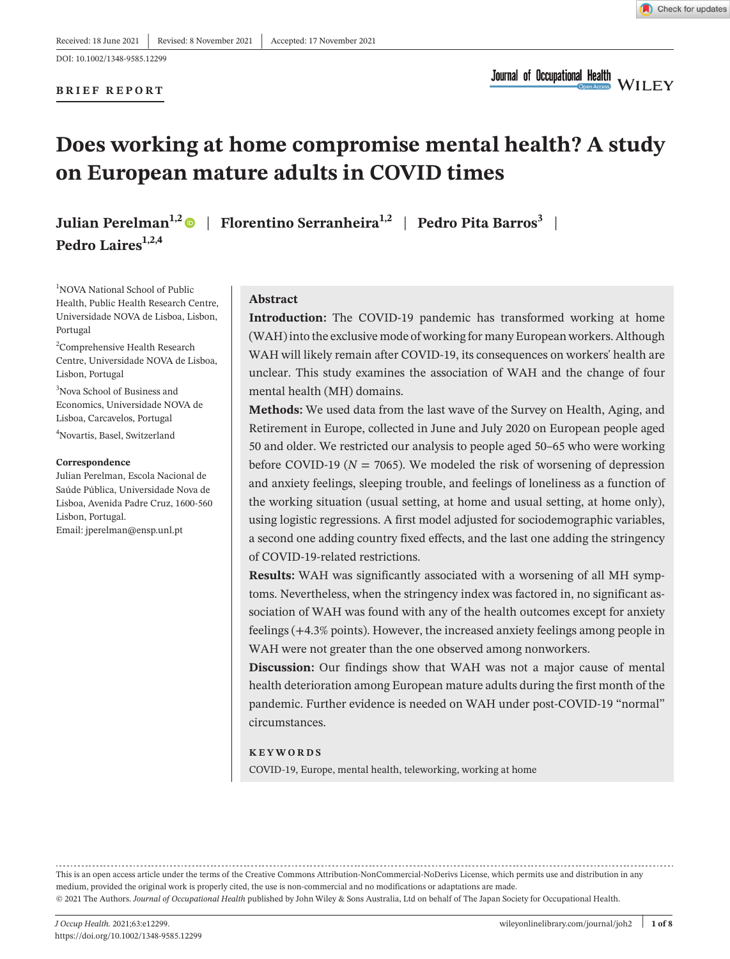DOI: 10.1002/1348-9585.12299

**BRIEF REPORT**

**Journal of Occupational Health WILEY** 

# **Does working at home compromise mental health? A study on European mature adults in COVID times**

**Pedro Laires1,2,4**

**Julian Perelman1,2** | **Florentino Serranheira1,2** | **Pedro Pita Barros3** |

<sup>1</sup>NOVA National School of Public Health, Public Health Research Centre, Universidade NOVA de Lisboa, Lisbon, Portugal

2 Comprehensive Health Research Centre, Universidade NOVA de Lisboa, Lisbon, Portugal

3 Nova School of Business and Economics, Universidade NOVA de Lisboa, Carcavelos, Portugal

4 Novartis, Basel, Switzerland

#### **Correspondence**

Julian Perelman, Escola Nacional de Saúde Pública, Universidade Nova de Lisboa, Avenida Padre Cruz, 1600-560 Lisbon, Portugal.

Email: [jperelman@ensp.unl.pt](mailto:jperelman@ensp.unl.pt)

#### **Abstract**

**Introduction:** The COVID-19 pandemic has transformed working at home (WAH)into the exclusive mode of working for many European workers. Although WAH will likely remain after COVID-19, its consequences on workers' health are unclear. This study examines the association of WAH and the change of four mental health (MH) domains.

**Methods:** We used data from the last wave of the Survey on Health, Aging, and Retirement in Europe, collected in June and July 2020 on European people aged 50 and older. We restricted our analysis to people aged 50–65 who were working before COVID-19 ( $N = 7065$ ). We modeled the risk of worsening of depression and anxiety feelings, sleeping trouble, and feelings of loneliness as a function of the working situation (usual setting, at home and usual setting, at home only), using logistic regressions. A first model adjusted for sociodemographic variables, a second one adding country fixed effects, and the last one adding the stringency of COVID-19-related restrictions.

**Results:** WAH was significantly associated with a worsening of all MH symptoms. Nevertheless, when the stringency index was factored in, no significant association of WAH was found with any of the health outcomes except for anxiety feelings (+4.3% points). However, the increased anxiety feelings among people in WAH were not greater than the one observed among nonworkers.

**Discussion:** Our findings show that WAH was not a major cause of mental health deterioration among European mature adults during the first month of the pandemic. Further evidence is needed on WAH under post-COVID-19 "normal" circumstances.

#### **KEYWORDS**

COVID-19, Europe, mental health, teleworking, working at home

This is an open access article under the terms of the Creative Commons [Attribution-NonCommercial-NoDerivs](http://creativecommons.org/licenses/by-nc-nd/4.0/) License, which permits use and distribution in any medium, provided the original work is properly cited, the use is non-commercial and no modifications or adaptations are made. © 2021 The Authors. *Journal of Occupational Health* published by John Wiley & Sons Australia, Ltd on behalf of The Japan Society for Occupational Health.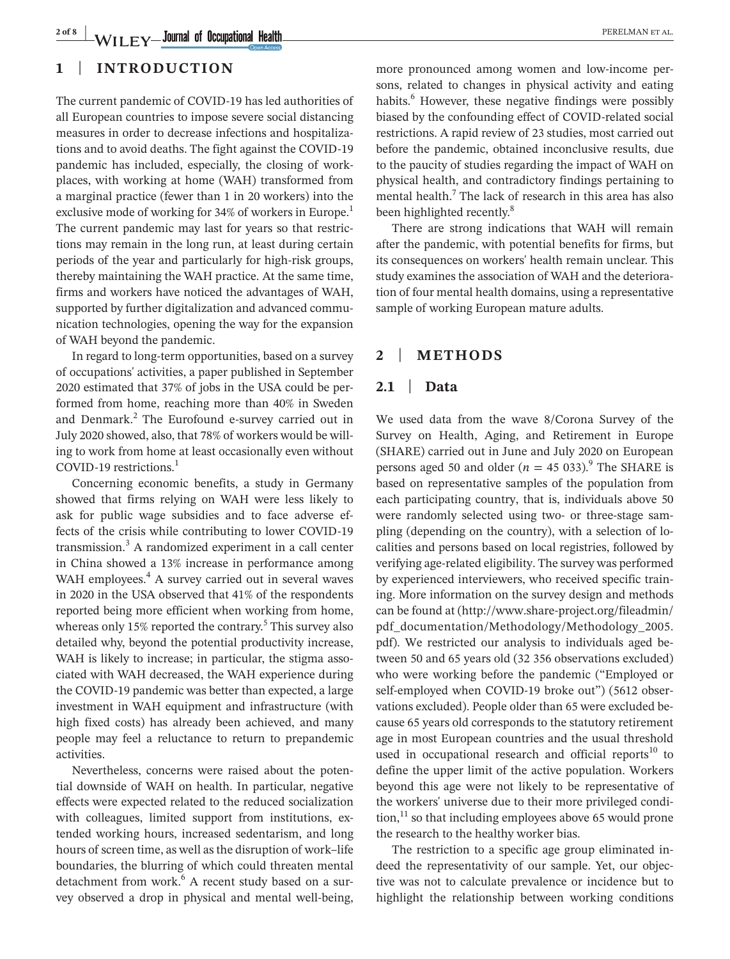## **1** | **INTRODUCTION**

The current pandemic of COVID-19 has led authorities of all European countries to impose severe social distancing measures in order to decrease infections and hospitalizations and to avoid deaths. The fight against the COVID-19 pandemic has included, especially, the closing of workplaces, with working at home (WAH) transformed from a marginal practice (fewer than 1 in 20 workers) into the exclusive mode of working for 34% of workers in Europe.<sup>1</sup> The current pandemic may last for years so that restrictions may remain in the long run, at least during certain periods of the year and particularly for high-risk groups, thereby maintaining the WAH practice. At the same time, firms and workers have noticed the advantages of WAH, supported by further digitalization and advanced communication technologies, opening the way for the expansion of WAH beyond the pandemic.

In regard to long-term opportunities, based on a survey of occupations' activities, a paper published in September 2020 estimated that 37% of jobs in the USA could be performed from home, reaching more than 40% in Sweden and Denmark.<sup>2</sup> The Eurofound e-survey carried out in July 2020 showed, also, that 78% of workers would be willing to work from home at least occasionally even without COVID-19 restrictions. $<sup>1</sup>$ </sup>

Concerning economic benefits, a study in Germany showed that firms relying on WAH were less likely to ask for public wage subsidies and to face adverse effects of the crisis while contributing to lower COVID-19 transmission.<sup>3</sup> A randomized experiment in a call center in China showed a 13% increase in performance among WAH employees.<sup>4</sup> A survey carried out in several waves in 2020 in the USA observed that 41% of the respondents reported being more efficient when working from home, whereas only 15% reported the contrary.<sup>5</sup> This survey also detailed why, beyond the potential productivity increase, WAH is likely to increase; in particular, the stigma associated with WAH decreased, the WAH experience during the COVID-19 pandemic was better than expected, a large investment in WAH equipment and infrastructure (with high fixed costs) has already been achieved, and many people may feel a reluctance to return to prepandemic activities.

Nevertheless, concerns were raised about the potential downside of WAH on health. In particular, negative effects were expected related to the reduced socialization with colleagues, limited support from institutions, extended working hours, increased sedentarism, and long hours of screen time, as well as the disruption of work–life boundaries, the blurring of which could threaten mental detachment from work.<sup>6</sup> A recent study based on a survey observed a drop in physical and mental well-being, more pronounced among women and low-income persons, related to changes in physical activity and eating habits.<sup>6</sup> However, these negative findings were possibly biased by the confounding effect of COVID-related social restrictions. A rapid review of 23 studies, most carried out before the pandemic, obtained inconclusive results, due to the paucity of studies regarding the impact of WAH on physical health, and contradictory findings pertaining to mental health.<sup>7</sup> The lack of research in this area has also been highlighted recently.<sup>8</sup>

There are strong indications that WAH will remain after the pandemic, with potential benefits for firms, but its consequences on workers' health remain unclear. This study examines the association of WAH and the deterioration of four mental health domains, using a representative sample of working European mature adults.

## **2** | **METHODS**

## **2.1** | **Data**

We used data from the wave 8/Corona Survey of the Survey on Health, Aging, and Retirement in Europe (SHARE) carried out in June and July 2020 on European persons aged 50 and older ( $n = 45033$ ).<sup>9</sup> The SHARE is based on representative samples of the population from each participating country, that is, individuals above 50 were randomly selected using two- or three-stage sampling (depending on the country), with a selection of localities and persons based on local registries, followed by verifying age-related eligibility. The survey was performed by experienced interviewers, who received specific training. More information on the survey design and methods can be found at ([http://www.share-project.org/fileadmin/](http://www.share-project.org/fileadmin/pdf_documentation/Methodology/Methodology_2005.pdf) [pdf\\_documentation/Methodology/Methodology\\_2005.](http://www.share-project.org/fileadmin/pdf_documentation/Methodology/Methodology_2005.pdf) [pdf\)](http://www.share-project.org/fileadmin/pdf_documentation/Methodology/Methodology_2005.pdf). We restricted our analysis to individuals aged between 50 and 65 years old (32 356 observations excluded) who were working before the pandemic ("Employed or self-employed when COVID-19 broke out") (5612 observations excluded). People older than 65 were excluded because 65 years old corresponds to the statutory retirement age in most European countries and the usual threshold used in occupational research and official reports $10$  to define the upper limit of the active population. Workers beyond this age were not likely to be representative of the workers' universe due to their more privileged condi- $\chi$  tion,<sup>11</sup> so that including employees above 65 would prone the research to the healthy worker bias.

The restriction to a specific age group eliminated indeed the representativity of our sample. Yet, our objective was not to calculate prevalence or incidence but to highlight the relationship between working conditions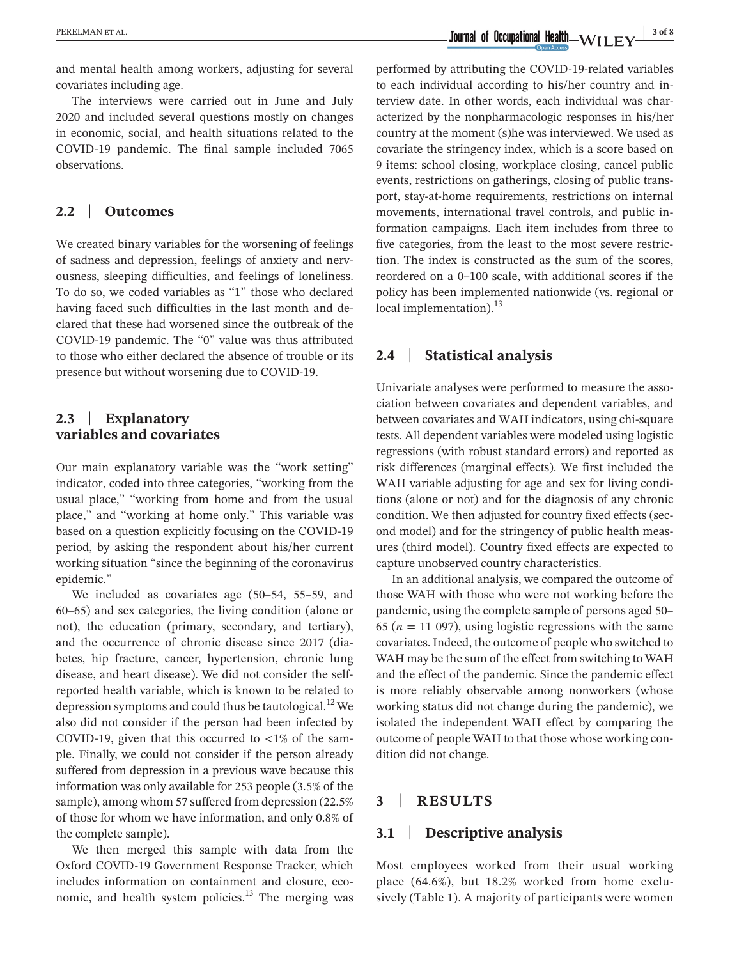and mental health among workers, adjusting for several covariates including age.

The interviews were carried out in June and July 2020 and included several questions mostly on changes in economic, social, and health situations related to the COVID-19 pandemic. The final sample included 7065 observations.

## **2.2** | **Outcomes**

We created binary variables for the worsening of feelings of sadness and depression, feelings of anxiety and nervousness, sleeping difficulties, and feelings of loneliness. To do so, we coded variables as "1" those who declared having faced such difficulties in the last month and declared that these had worsened since the outbreak of the COVID-19 pandemic. The "0" value was thus attributed to those who either declared the absence of trouble or its presence but without worsening due to COVID-19.

## **2.3** | **Explanatory variables and covariates**

Our main explanatory variable was the "work setting" indicator, coded into three categories, "working from the usual place," "working from home and from the usual place," and "working at home only." This variable was based on a question explicitly focusing on the COVID-19 period, by asking the respondent about his/her current working situation "since the beginning of the coronavirus epidemic."

We included as covariates age (50–54, 55–59, and 60–65) and sex categories, the living condition (alone or not), the education (primary, secondary, and tertiary), and the occurrence of chronic disease since 2017 (diabetes, hip fracture, cancer, hypertension, chronic lung disease, and heart disease). We did not consider the selfreported health variable, which is known to be related to depression symptoms and could thus be tautological.<sup>12</sup> We also did not consider if the person had been infected by COVID-19, given that this occurred to  $\langle 1\% \rangle$  of the sample. Finally, we could not consider if the person already suffered from depression in a previous wave because this information was only available for 253 people (3.5% of the sample), among whom 57 suffered from depression (22.5% of those for whom we have information, and only 0.8% of the complete sample).

We then merged this sample with data from the Oxford COVID-19 Government Response Tracker, which includes information on containment and closure, economic, and health system policies. $13$  The merging was

performed by attributing the COVID-19-related variables to each individual according to his/her country and interview date. In other words, each individual was characterized by the nonpharmacologic responses in his/her country at the moment (s)he was interviewed. We used as covariate the stringency index, which is a score based on 9 items: school closing, workplace closing, cancel public events, restrictions on gatherings, closing of public transport, stay-at-home requirements, restrictions on internal movements, international travel controls, and public information campaigns. Each item includes from three to five categories, from the least to the most severe restriction. The index is constructed as the sum of the scores, reordered on a 0–100 scale, with additional scores if the policy has been implemented nationwide (vs. regional or local implementation). $^{13}$ 

#### **2.4** | **Statistical analysis**

Univariate analyses were performed to measure the association between covariates and dependent variables, and between covariates and WAH indicators, using chi-square tests. All dependent variables were modeled using logistic regressions (with robust standard errors) and reported as risk differences (marginal effects). We first included the WAH variable adjusting for age and sex for living conditions (alone or not) and for the diagnosis of any chronic condition. We then adjusted for country fixed effects (second model) and for the stringency of public health measures (third model). Country fixed effects are expected to capture unobserved country characteristics.

In an additional analysis, we compared the outcome of those WAH with those who were not working before the pandemic, using the complete sample of persons aged 50– 65 ( $n = 11$  097), using logistic regressions with the same covariates. Indeed, the outcome of people who switched to WAH may be the sum of the effect from switching to WAH and the effect of the pandemic. Since the pandemic effect is more reliably observable among nonworkers (whose working status did not change during the pandemic), we isolated the independent WAH effect by comparing the outcome of people WAH to that those whose working condition did not change.

## **3** | **RESULTS**

#### **3.1** | **Descriptive analysis**

Most employees worked from their usual working place (64.6%), but 18.2% worked from home exclusively (Table 1). A majority of participants were women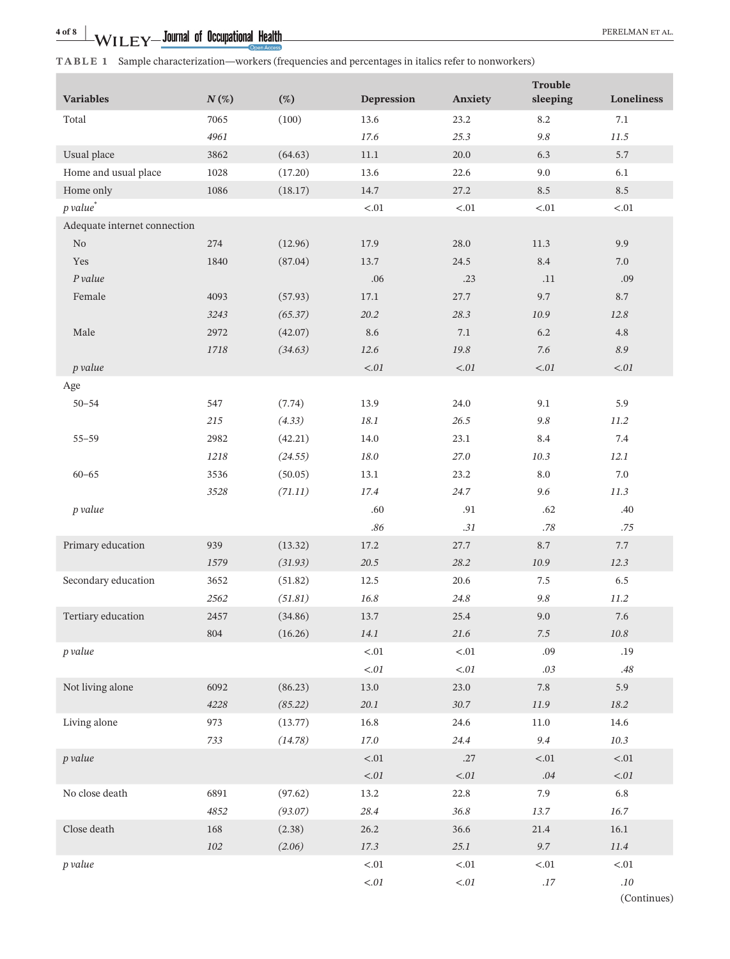|                                   |         |         |            |            | <b>Trouble</b> | Loneliness             |
|-----------------------------------|---------|---------|------------|------------|----------------|------------------------|
| <b>Variables</b>                  | $N(\%)$ | $(\%)$  | Depression | Anxiety    | sleeping       |                        |
| Total                             | 7065    | (100)   | 13.6       | 23.2       | 8.2            | 7.1                    |
|                                   | 4961    |         | 17.6       | 25.3       | $9.8\,$        | 11.5                   |
| Usual place                       | 3862    | (64.63) | $11.1\,$   | 20.0       | 6.3            | 5.7                    |
| Home and usual place              | 1028    | (17.20) | 13.6       | 22.6       | 9.0            | 6.1                    |
| Home only<br>p value <sup>*</sup> | 1086    | (18.17) | 14.7       | 27.2       | 8.5            | 8.5                    |
|                                   |         |         | ${<}.01$   | ${<}.01$   | ${<}.01$       | < 0.01                 |
| Adequate internet connection      |         |         |            |            |                |                        |
| $\rm No$                          | 274     | (12.96) | 17.9       | 28.0       | 11.3           | 9.9                    |
| Yes                               | 1840    | (87.04) | 13.7       | 24.5       | 8.4            | $7.0\,$                |
| P value                           |         |         | .06        | .23        | .11            | .09                    |
| Female                            | 4093    | (57.93) | 17.1       | 27.7       | 9.7            | 8.7                    |
|                                   | 3243    | (65.37) | 20.2       | 28.3       | 10.9           | 12.8                   |
| Male                              | 2972    | (42.07) | 8.6        | 7.1        | $6.2\,$        | 4.8                    |
|                                   | 1718    | (34.63) | 12.6       | 19.8       | $7.6\,$        | 8.9                    |
| p value                           |         |         | $< 01$     | $< 01$     | $< 01$         | $< 01$                 |
| Age                               |         |         |            |            |                |                        |
| $50 - 54$                         | 547     | (7.74)  | 13.9       | 24.0       | 9.1            | 5.9                    |
|                                   | 215     | (4.33)  | 18.1       | 26.5       | $9.8\,$        | $11.2\,$               |
| $55 - 59$                         | 2982    | (42.21) | 14.0       | 23.1       | 8.4            | 7.4                    |
|                                   | 1218    | (24.55) | 18.0       | 27.0       | 10.3           | 12.1                   |
| $60 - 65$                         | 3536    | (50.05) | 13.1       | 23.2       | $\ \, 8.0$     | $7.0\,$                |
|                                   | 3528    | (71.11) | 17.4       | 24.7       | 9.6            | 11.3                   |
| p value                           |         |         | .60        | .91        | .62            | .40                    |
|                                   |         |         | $.86\,$    | $.31\,$    | $.78\,$        | .75                    |
| Primary education                 | 939     | (13.32) | 17.2       | 27.7       | $8.7\,$        | 7.7                    |
|                                   | 1579    | (31.93) | 20.5       | 28.2       | 10.9           | 12.3                   |
| Secondary education               | 3652    | (51.82) | 12.5       | 20.6       | 7.5            | $6.5\,$                |
|                                   | 2562    | (51.81) | 16.8       | 24.8       | 9.8            | 11.2                   |
| Tertiary education                | 2457    | (34.86) | 13.7       | 25.4       | 9.0            | 7.6                    |
|                                   | 804     | (16.26) | 14.1       | 21.6       | $7.5\,$        | $10.8\,$               |
| p value                           |         |         | ${<}.01$   | ${<}.01$   | .09            | .19                    |
|                                   |         |         | $<\!\!.01$ | $< 01$     | $.03\,$        | $.48\,$                |
| Not living alone                  | 6092    | (86.23) | 13.0       | 23.0       | $7.8\,$        | 5.9                    |
|                                   | 4228    | (85.22) | $20.1\,$   | 30.7       | $11.9\,$       | 18.2                   |
| Living alone                      | 973     | (13.77) | 16.8       | 24.6       | $11.0\,$       | 14.6                   |
|                                   | 733     | (14.78) | $17.0\,$   | 24.4       | 9.4            | $10.3\,$               |
| p value                           |         |         | $<.01\,$   | .27        | $<.01\,$       | ${<}.01$               |
|                                   |         |         | $<\!\!.01$ | $<\!\!.01$ | $.04\,$        | $<\!\!.01$             |
| No close death                    | 6891    | (97.62) | 13.2       | 22.8       | 7.9            | $6.8\,$                |
|                                   | 4852    | (93.07) | 28.4       | 36.8       | 13.7           | 16.7                   |
| Close death                       | 168     | (2.38)  | 26.2       | 36.6       | 21.4           | 16.1                   |
|                                   | $102\,$ | (2.06)  | 17.3       | 25.1       | $9.7\,$        | 11.4                   |
| p value                           |         |         | ${<}.01$   | ${<}.01$   | $< 01$         | < 01                   |
|                                   |         |         | $<\!\!.01$ | $<\!\!.01$ | $.17\,$        | $.10\,$<br>(Continues) |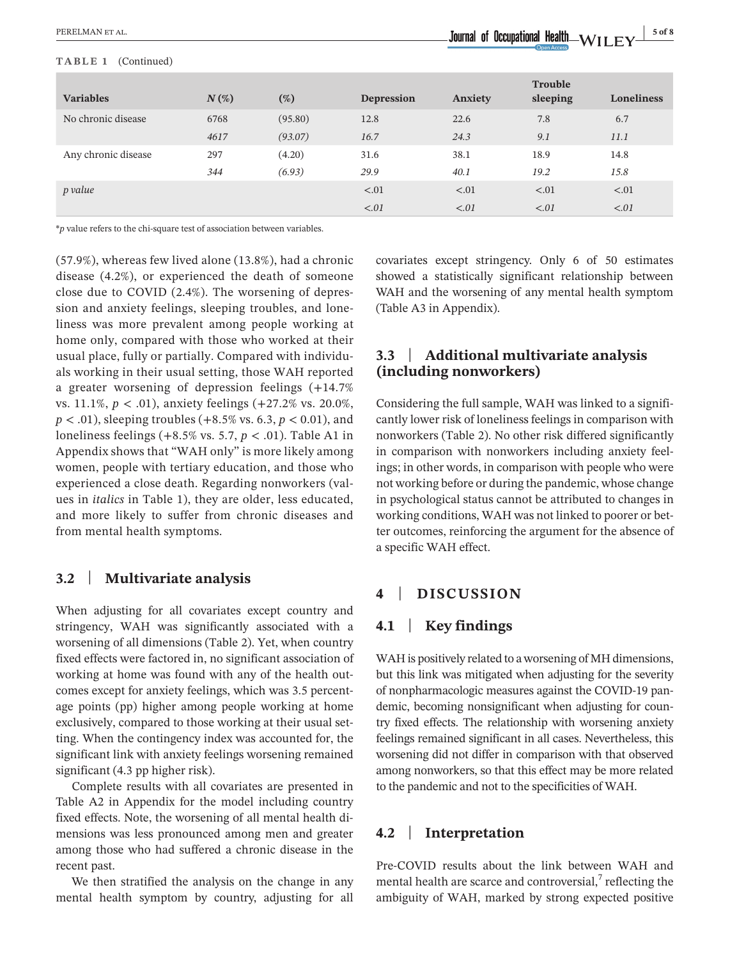| <b>Variables</b>    | $N(\%)$ | (%)     | <b>Depression</b> | <b>Anxiety</b> | <b>Trouble</b><br>sleeping | <b>Loneliness</b> |
|---------------------|---------|---------|-------------------|----------------|----------------------------|-------------------|
| No chronic disease  | 6768    | (95.80) | 12.8              | 22.6           | 7.8                        | 6.7               |
|                     | 4617    | (93.07) | 16.7              | 24.3           | 9.1                        | 11.1              |
| Any chronic disease | 297     | (4.20)  | 31.6              | 38.1           | 18.9                       | 14.8              |
|                     | 344     | (6.93)  | 29.9              | 40.1           | 19.2                       | 15.8              |
| p value             |         |         | $-.01$            | $-.01$         | $\leq 0.01$                | < 0.01            |
|                     |         |         | $\leq 0.01$       | < 0.01         | $\leq 0.01$                | < 0.01            |

\**p* value refers to the chi-square test of association between variables.

(57.9%), whereas few lived alone (13.8%), had a chronic disease (4.2%), or experienced the death of someone close due to COVID (2.4%). The worsening of depression and anxiety feelings, sleeping troubles, and loneliness was more prevalent among people working at home only, compared with those who worked at their usual place, fully or partially. Compared with individuals working in their usual setting, those WAH reported a greater worsening of depression feelings (+14.7% vs. 11.1%, *p* < .01), anxiety feelings (+27.2% vs. 20.0%, *p* < .01), sleeping troubles (+8.5% vs. 6.3, *p* < 0.01), and loneliness feelings (+8.5% vs. 5.7, *p* < .01). Table A1 in Appendix shows that "WAH only" is more likely among women, people with tertiary education, and those who experienced a close death. Regarding nonworkers (values in *italics* in Table 1), they are older, less educated, and more likely to suffer from chronic diseases and from mental health symptoms.

## **3.2** | **Multivariate analysis**

When adjusting for all covariates except country and stringency, WAH was significantly associated with a worsening of all dimensions (Table 2). Yet, when country fixed effects were factored in, no significant association of working at home was found with any of the health outcomes except for anxiety feelings, which was 3.5 percentage points (pp) higher among people working at home exclusively, compared to those working at their usual setting. When the contingency index was accounted for, the significant link with anxiety feelings worsening remained significant (4.3 pp higher risk).

Complete results with all covariates are presented in Table A2 in Appendix for the model including country fixed effects. Note, the worsening of all mental health dimensions was less pronounced among men and greater among those who had suffered a chronic disease in the recent past.

We then stratified the analysis on the change in any mental health symptom by country, adjusting for all

covariates except stringency. Only 6 of 50 estimates showed a statistically significant relationship between WAH and the worsening of any mental health symptom (Table A3 in Appendix).

## **3.3** | **Additional multivariate analysis (including nonworkers)**

Considering the full sample, WAH was linked to a significantly lower risk of loneliness feelings in comparison with nonworkers (Table 2). No other risk differed significantly in comparison with nonworkers including anxiety feelings; in other words, in comparison with people who were not working before or during the pandemic, whose change in psychological status cannot be attributed to changes in working conditions, WAH was not linked to poorer or better outcomes, reinforcing the argument for the absence of a specific WAH effect.

## **4** | **DISCUSSION**

## **4.1** | **Key findings**

WAH is positively related to a worsening of MH dimensions, but this link was mitigated when adjusting for the severity of nonpharmacologic measures against the COVID-19 pandemic, becoming nonsignificant when adjusting for country fixed effects. The relationship with worsening anxiety feelings remained significant in all cases. Nevertheless, this worsening did not differ in comparison with that observed among nonworkers, so that this effect may be more related to the pandemic and not to the specificities of WAH.

#### **4.2** | **Interpretation**

Pre-COVID results about the link between WAH and mental health are scarce and controversial, $\frac{7}{1}$  reflecting the ambiguity of WAH, marked by strong expected positive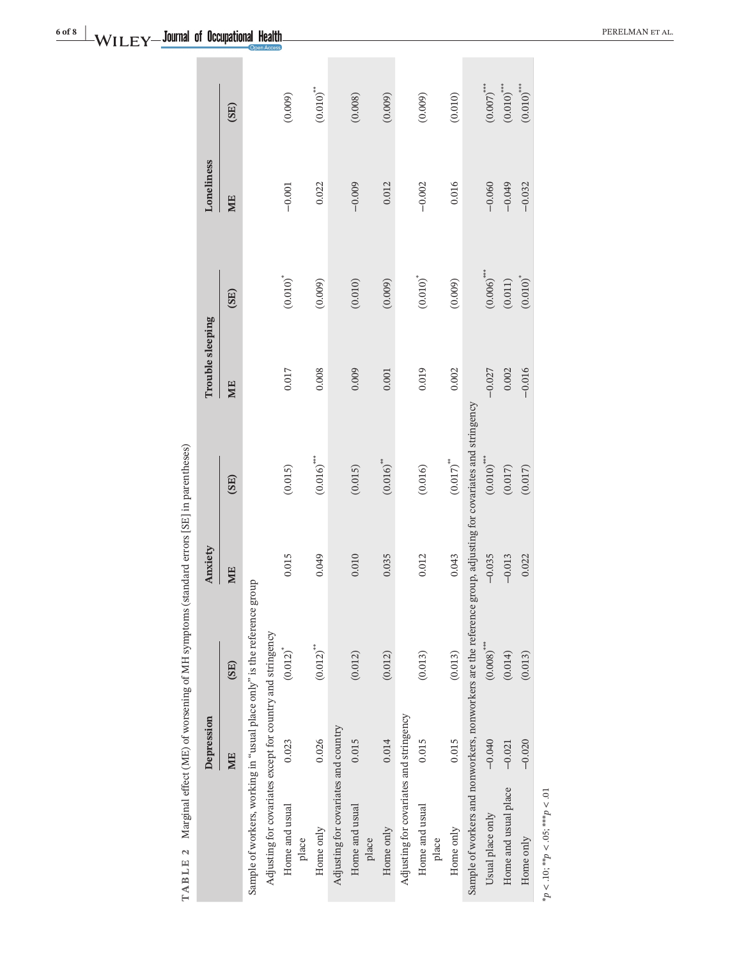|                                                                                                               | Depression |                          | Anxiety  |                         | Trouble sleeping |                          | Loneliness |                         |
|---------------------------------------------------------------------------------------------------------------|------------|--------------------------|----------|-------------------------|------------------|--------------------------|------------|-------------------------|
|                                                                                                               | ME         | (SE)                     | ME       | (SE)                    | ME               | (SE)                     | ME         | (SE)                    |
| Sample of workers, working in "usual place only" is the reference group                                       |            |                          |          |                         |                  |                          |            |                         |
| Adjusting for covariates except for country and stringency                                                    |            |                          |          |                         |                  |                          |            |                         |
| Home and usual<br>place                                                                                       | 0.023      | $(0.012)^{*}$            | 0.015    | (0.015)                 | 0.017            | $\left(0.010\right)^{*}$ | $-0.001$   | (0.009)                 |
| Home only                                                                                                     | 0.026      | $(0.012)^{**}$           | 0.049    | $(0.016)$ ***           | 0.008            | (0.009)                  | 0.022      | $(0.010)$ <sup>**</sup> |
| Adjusting for covariates and country                                                                          |            |                          |          |                         |                  |                          |            |                         |
| Home and usual<br>place                                                                                       | 0.015      | (0.012)                  | 0.010    | (0.015)                 | 0.009            | (0.010)                  | $-0.009$   | (0.008)                 |
| Home only                                                                                                     | 0.014      | (0.012)                  | 0.035    | $(0.016)$ <sup>**</sup> | 0.001            | (0.009)                  | 0.012      | (0.009)                 |
| Adjusting for covariates and stringency                                                                       |            |                          |          |                         |                  |                          |            |                         |
| Home and usual<br>place                                                                                       | 0.015      | (0.013)                  | 0.012    | (0.016)                 | 0.019            | $(0.010)^*$              | $-0.002$   | (0.009)                 |
| Home only                                                                                                     | 0.015      | (0.013)                  | 0.043    | $(0.017)$ <sup>**</sup> | 0.002            | (0.009)                  | 0.016      | (0.010)                 |
| Sample of workers and nonworkers, nonworkers are the reference group, adjusting for covariates and stringency |            |                          |          |                         |                  |                          |            |                         |
| Usual place only                                                                                              | $-0.040$   | $(0.008)$ <sup>***</sup> | $-0.035$ | $(0.010)$ ***           | $-0.027$         | $(0.006)$ ***            | $-0.060$   | $(0.007)$ ***           |
| Home and usual place                                                                                          | $-0.021$   | (0.014)                  | $-0.013$ | (0.017)                 | 0.002            | (0.011)                  | $-0.049$   | $(0.010)$ ***           |
| Home only                                                                                                     | $-0.020$   | (0.013)                  | 0.022    | (0.017)                 | $-0.016$         | $(0.010)^*$              | $-0.032$   | $(0.010)$ ***           |
| * $p < 10$ ; ** $p < 0.5$ ; *** $p < 01$                                                                      |            |                          |          |                         |                  |                          |            |                         |

**6 of 8 | NAZEL ENZY LOUITRE 10 REGISTER OF ALL SERVERS AND REFORMAN ET AL.**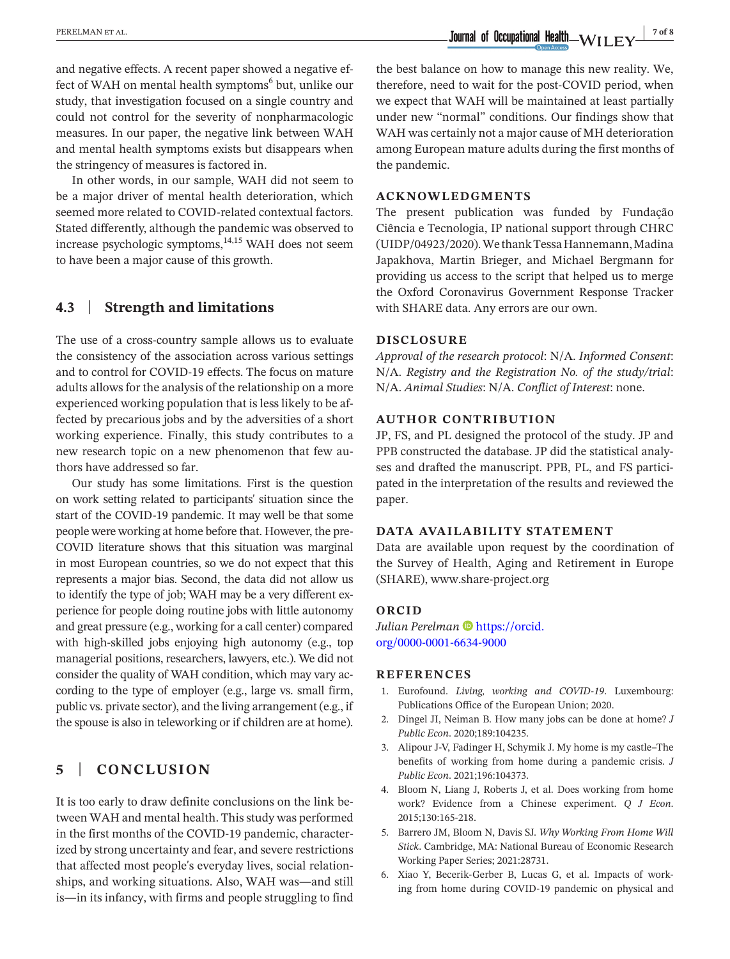**EXELMAN ET AL.** *PERELMAN ET AL. 7 of 8* 

and negative effects. A recent paper showed a negative effect of WAH on mental health symptoms<sup>6</sup> but, unlike our study, that investigation focused on a single country and could not control for the severity of nonpharmacologic measures. In our paper, the negative link between WAH and mental health symptoms exists but disappears when the stringency of measures is factored in.

In other words, in our sample, WAH did not seem to be a major driver of mental health deterioration, which seemed more related to COVID-related contextual factors. Stated differently, although the pandemic was observed to increase psychologic symptoms,<sup>14,15</sup> WAH does not seem to have been a major cause of this growth.

## **4.3** | **Strength and limitations**

The use of a cross-country sample allows us to evaluate the consistency of the association across various settings and to control for COVID-19 effects. The focus on mature adults allows for the analysis of the relationship on a more experienced working population that is less likely to be affected by precarious jobs and by the adversities of a short working experience. Finally, this study contributes to a new research topic on a new phenomenon that few authors have addressed so far.

Our study has some limitations. First is the question on work setting related to participants' situation since the start of the COVID-19 pandemic. It may well be that some people were working at home before that. However, the pre-COVID literature shows that this situation was marginal in most European countries, so we do not expect that this represents a major bias. Second, the data did not allow us to identify the type of job; WAH may be a very different experience for people doing routine jobs with little autonomy and great pressure (e.g., working for a call center) compared with high-skilled jobs enjoying high autonomy (e.g., top managerial positions, researchers, lawyers, etc.). We did not consider the quality of WAH condition, which may vary according to the type of employer (e.g., large vs. small firm, public vs. private sector), and the living arrangement (e.g., if the spouse is also in teleworking or if children are at home).

## **5** | **CONCLUSION**

It is too early to draw definite conclusions on the link between WAH and mental health. This study was performed in the first months of the COVID-19 pandemic, characterized by strong uncertainty and fear, and severe restrictions that affected most people's everyday lives, social relationships, and working situations. Also, WAH was—and still is—in its infancy, with firms and people struggling to find

the best balance on how to manage this new reality. We, therefore, need to wait for the post-COVID period, when we expect that WAH will be maintained at least partially under new "normal" conditions. Our findings show that WAH was certainly not a major cause of MH deterioration among European mature adults during the first months of the pandemic.

#### **ACKNOWLEDGMENTS**

The present publication was funded by Fundação Ciência e Tecnologia, IP national support through CHRC (UIDP/04923/2020). We thank Tessa Hannemann, Madina Japakhova, Martin Brieger, and Michael Bergmann for providing us access to the script that helped us to merge the Oxford Coronavirus Government Response Tracker with SHARE data. Any errors are our own.

#### **DISCLOSURE**

*Approval of the research protocol*: N/A. *Informed Consent*: N/A. *Registry and the Registration No. of the study/trial*: N/A. *Animal Studies*: N/A. *Conflict of Interest*: none.

#### **AUTHOR CONTRIBUTION**

JP, FS, and PL designed the protocol of the study. JP and PPB constructed the database. JP did the statistical analyses and drafted the manuscript. PPB, PL, and FS participated in the interpretation of the results and reviewed the paper.

#### **DATA AVAILABILITY STATEMENT**

Data are available upon request by the coordination of the Survey of Health, Aging and Retirement in Europe (SHARE), [www.share-project.org](http://www.share-project.org)

#### **ORCID**

*Julian Perelman* [https://orcid.](https://orcid.org/0000-0001-6634-9000) [org/0000-0001-6634-9000](https://orcid.org/0000-0001-6634-9000)

#### **REFERENCES**

- 1. Eurofound. *Living, working and COVID-19*. Luxembourg: Publications Office of the European Union; 2020.
- 2. Dingel JI, Neiman B. How many jobs can be done at home? *J Public Econ*. 2020;189:104235.
- 3. Alipour J-V, Fadinger H, Schymik J. My home is my castle–The benefits of working from home during a pandemic crisis. *J Public Econ*. 2021;196:104373.
- 4. Bloom N, Liang J, Roberts J, et al. Does working from home work? Evidence from a Chinese experiment. *Q J Econ*. 2015;130:165-218.
- 5. Barrero JM, Bloom N, Davis SJ. *Why Working From Home Will Stick*. Cambridge, MA: National Bureau of Economic Research Working Paper Series; 2021:28731.
- 6. Xiao Y, Becerik-Gerber B, Lucas G, et al. Impacts of working from home during COVID-19 pandemic on physical and